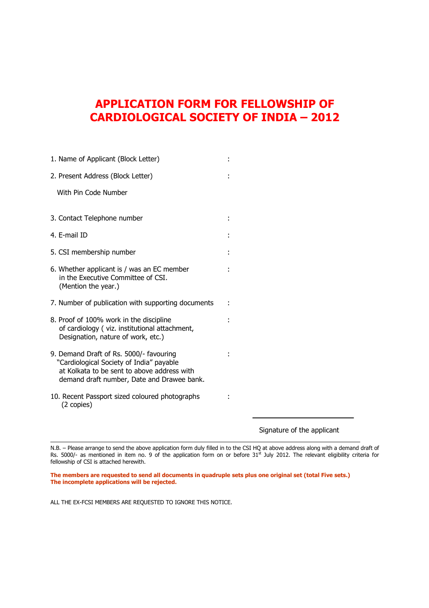# **APPLICATION FORM FOR FELLOWSHIP OF CARDIOLOGICAL SOCIETY OF INDIA – 2012**

| 1. Name of Applicant (Block Letter)                                                                                                                                              |  |
|----------------------------------------------------------------------------------------------------------------------------------------------------------------------------------|--|
| 2. Present Address (Block Letter)                                                                                                                                                |  |
| With Pin Code Number                                                                                                                                                             |  |
|                                                                                                                                                                                  |  |
| 3. Contact Telephone number                                                                                                                                                      |  |
| 4. F-mail ID                                                                                                                                                                     |  |
| 5. CSI membership number                                                                                                                                                         |  |
| 6. Whether applicant is / was an EC member<br>in the Executive Committee of CSI.<br>(Mention the year.)                                                                          |  |
| 7. Number of publication with supporting documents                                                                                                                               |  |
| 8. Proof of 100% work in the discipline<br>of cardiology (viz. institutional attachment,<br>Designation, nature of work, etc.)                                                   |  |
| 9. Demand Draft of Rs. 5000/- favouring<br>"Cardiological Society of India" payable<br>at Kolkata to be sent to above address with<br>demand draft number, Date and Drawee bank. |  |
| 10. Recent Passport sized coloured photographs<br>(2 copies)                                                                                                                     |  |

Signature of the applicant

l

N.B. – Please arrange to send the above application form duly filled in to the CSI HQ at above address along with a demand draft of Rs. 5000/- as mentioned in item no. 9 of the application form on or before  $31<sup>st</sup>$  July 2012. The relevant eligibility criteria for fellowship of CSI is attached herewith.

**The members are requested to send all documents in quadruple sets plus one original set (total Five sets.) The incomplete applications will be rejected.** 

ALL THE EX-FCSI MEMBERS ARE REQUESTED TO IGNORE THIS NOTICE.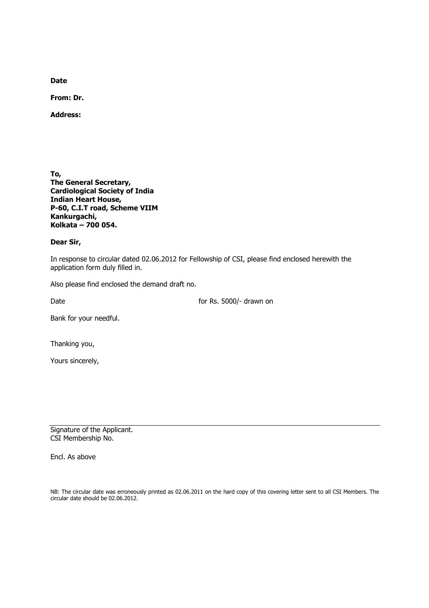**Date** 

**From: Dr.** 

**Address:** 

**To, The General Secretary, Cardiological Society of India Indian Heart House, P-60, C.I.T road, Scheme VIIM Kankurgachi, Kolkata – 700 054.** 

#### **Dear Sir,**

In response to circular dated 02.06.2012 for Fellowship of CSI, please find enclosed herewith the application form duly filled in.

Also please find enclosed the demand draft no.

Date **for Rs. 5000/-** drawn on

Bank for your needful.

Thanking you,

Yours sincerely,

Signature of the Applicant. CSI Membership No.

Encl. As above

NB: The circular date was erroneously printed as 02.06.2011 on the hard copy of this covering letter sent to all CSI Members. The circular date should be 02.06.2012.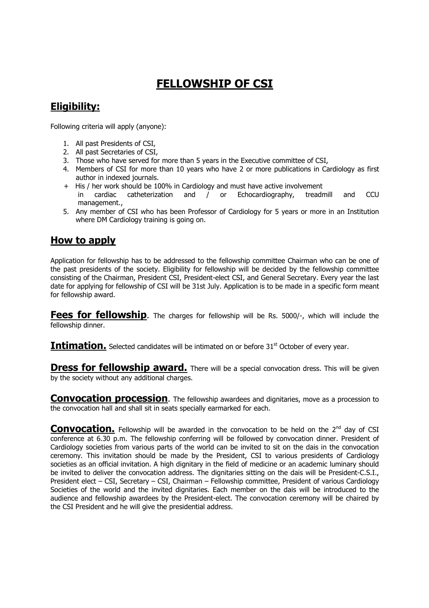# **FELLOWSHIP OF CSI**

## **Eligibility:**

Following criteria will apply (anyone):

- 1. All past Presidents of CSI,
- 2. All past Secretaries of CSI,
- 3. Those who have served for more than 5 years in the Executive committee of CSI,
- 4. Members of CSI for more than 10 years who have 2 or more publications in Cardiology as first author in indexed journals.
- + His / her work should be 100% in Cardiology and must have active involvement in cardiac catheterization and / or Echocardiography, treadmill and CCU
- management.,
- 5. Any member of CSI who has been Professor of Cardiology for 5 years or more in an Institution where DM Cardiology training is going on.

## **How to apply**

Application for fellowship has to be addressed to the fellowship committee Chairman who can be one of the past presidents of the society. Eligibility for fellowship will be decided by the fellowship committee consisting of the Chairman, President CSI, President-elect CSI, and General Secretary. Every year the last date for applying for fellowship of CSI will be 31st July. Application is to be made in a specific form meant for fellowship award.

**Fees for fellowship.** The charges for fellowship will be Rs. 5000/-, which will include the fellowship dinner.

**Intimation.** Selected candidates will be intimated on or before 31<sup>st</sup> October of every year.

**Dress for fellowship award.** There will be a special convocation dress. This will be given by the society without any additional charges.

**Convocation procession**. The fellowship awardees and dignitaries, move as a procession to the convocation hall and shall sit in seats specially earmarked for each.

**Convocation.** Fellowship will be awarded in the convocation to be held on the 2<sup>nd</sup> day of CSI conference at 6.30 p.m. The fellowship conferring will be followed by convocation dinner. President of Cardiology societies from various parts of the world can be invited to sit on the dais in the convocation ceremony. This invitation should be made by the President, CSI to various presidents of Cardiology societies as an official invitation. A high dignitary in the field of medicine or an academic luminary should be invited to deliver the convocation address. The dignitaries sitting on the dais will be President-C.S.I., President elect – CSI, Secretary – CSI, Chairman – Fellowship committee, President of various Cardiology Societies of the world and the invited dignitaries. Each member on the dais will be introduced to the audience and fellowship awardees by the President-elect. The convocation ceremony will be chaired by the CSI President and he will give the presidential address.